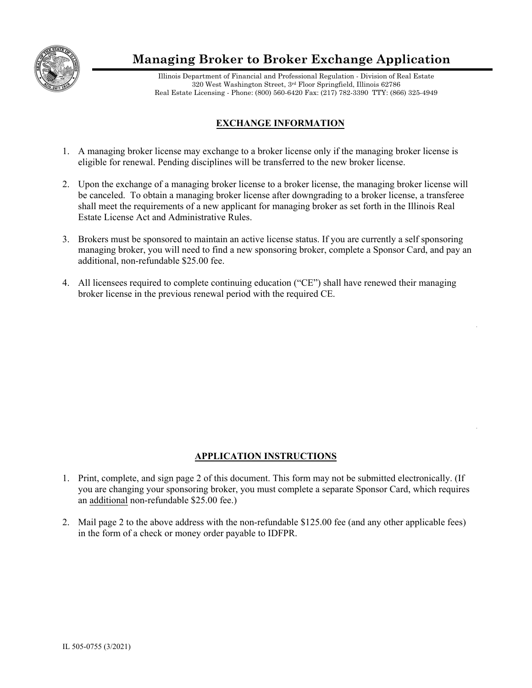

## **Managing Broker to Broker Exchange Application**

Illinois Department of Financial and Professional Regulation - Division of Real Estate 320 West Washington Street, 3rd Floor Springfield, Illinois 62786 Real Estate Licensing - Phone: (800) 560-6420 Fax: (217) 782-3390 TTY: (866) 325-4949

## **EXCHANGE INFORMATION**

- 1. A managing broker license may exchange to a broker license only if the managing broker license is eligible for renewal. Pending disciplines will be transferred to the new broker license.
- 2. Upon the exchange of a managing broker license to a broker license, the managing broker license will be canceled. To obtain a managing broker license after downgrading to a broker license, a transferee shall meet the requirements of a new applicant for managing broker as set forth in the Illinois Real Estate License Act and Administrative Rules.
- 3. Brokers must be sponsored to maintain an active license status. If you are currently a self sponsoring managing broker, you will need to find a new sponsoring broker, complete a Sponsor Card, and pay an additional, non-refundable \$25.00 fee.
- 4. All licensees required to complete continuing education ("CE") shall have renewed their managing broker license in the previous renewal period with the required CE.

## **APPLICATION INSTRUCTIONS**

- 1. Print, complete, and sign page 2 of this document. This form may not be submitted electronically. (If you are changing your sponsoring broker, you must complete a separate Sponsor Card, which requires an additional non-refundable \$25.00 fee.)
- 2. Mail page 2 to the above address with the non-refundable \$125.00 fee (and any other applicable fees) in the form of a check or money order payable to IDFPR.